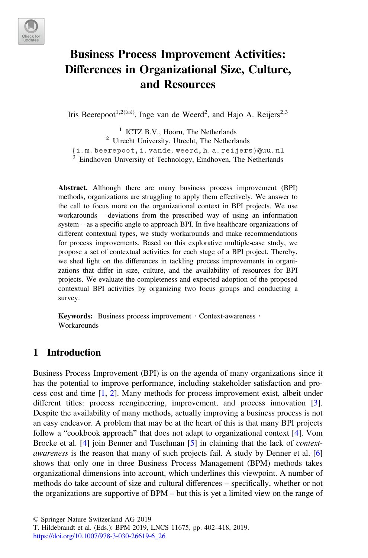

# Business Process Improvement Activities: Differences in Organizational Size, Culture, and Resources

Iris Beerepoot<sup>1,2( $\boxtimes$ )</sup>, Inge van de Weerd<sup>2</sup>, and Hajo A. Reijers<sup>2,3</sup>

<sup>1</sup> ICTZ B.V., Hoorn, The Netherlands<br><sup>2</sup> Utrecht University, Utrecht, The Netherlands {i.m.beerepoot,i.vande.weerd,h.a.reijers}@uu.nl  $\frac{3}{3}$  Eindhoven University of Technology, Eindhoven, The Netherlands

Abstract. Although there are many business process improvement (BPI) methods, organizations are struggling to apply them effectively. We answer to the call to focus more on the organizational context in BPI projects. We use workarounds – deviations from the prescribed way of using an information system – as a specific angle to approach BPI. In five healthcare organizations of different contextual types, we study workarounds and make recommendations for process improvements. Based on this explorative multiple-case study, we propose a set of contextual activities for each stage of a BPI project. Thereby, we shed light on the differences in tackling process improvements in organizations that differ in size, culture, and the availability of resources for BPI projects. We evaluate the completeness and expected adoption of the proposed contextual BPI activities by organizing two focus groups and conducting a survey.

Keywords: Business process improvement  $\cdot$  Context-awareness  $\cdot$  Workarounds

# 1 Introduction

Business Process Improvement (BPI) is on the agenda of many organizations since it has the potential to improve performance, including stakeholder satisfaction and process cost and time [[1,](#page-14-0) [2\]](#page-14-0). Many methods for process improvement exist, albeit under different titles: process reengineering, improvement, and process innovation [[3\]](#page-14-0). Despite the availability of many methods, actually improving a business process is not an easy endeavor. A problem that may be at the heart of this is that many BPI projects follow a "cookbook approach" that does not adapt to organizational context [[4\]](#page-14-0). Vom Brocke et al. [[4\]](#page-14-0) join Benner and Tuschman [\[5](#page-14-0)] in claiming that the lack of *context*awareness is the reason that many of such projects fail. A study by Denner et al. [\[6](#page-14-0)] shows that only one in three Business Process Management (BPM) methods takes organizational dimensions into account, which underlines this viewpoint. A number of methods do take account of size and cultural differences – specifically, whether or not the organizations are supportive of BPM – but this is yet a limited view on the range of

T. Hildebrandt et al. (Eds.): BPM 2019, LNCS 11675, pp. 402–418, 2019. [https://doi.org/10.1007/978-3-030-26619-6\\_26](https://doi.org/10.1007/978-3-030-26619-6_26)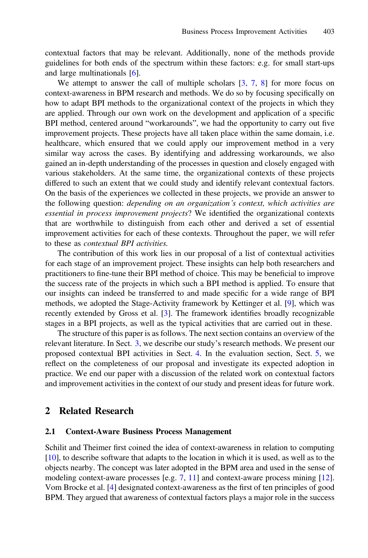contextual factors that may be relevant. Additionally, none of the methods provide guidelines for both ends of the spectrum within these factors: e.g. for small start-ups and large multinationals [\[6](#page-14-0)].

We attempt to answer the call of multiple scholars  $[3, 7, 8]$  $[3, 7, 8]$  $[3, 7, 8]$  $[3, 7, 8]$  $[3, 7, 8]$  for more focus on context-awareness in BPM research and methods. We do so by focusing specifically on how to adapt BPI methods to the organizational context of the projects in which they are applied. Through our own work on the development and application of a specific BPI method, centered around "workarounds", we had the opportunity to carry out five improvement projects. These projects have all taken place within the same domain, i.e. healthcare, which ensured that we could apply our improvement method in a very similar way across the cases. By identifying and addressing workarounds, we also gained an in-depth understanding of the processes in question and closely engaged with various stakeholders. At the same time, the organizational contexts of these projects differed to such an extent that we could study and identify relevant contextual factors. On the basis of the experiences we collected in these projects, we provide an answer to the following question: depending on an organization's context, which activities are essential in process improvement projects? We identified the organizational contexts that are worthwhile to distinguish from each other and derived a set of essential improvement activities for each of these contexts. Throughout the paper, we will refer to these as contextual BPI activities.

The contribution of this work lies in our proposal of a list of contextual activities for each stage of an improvement project. These insights can help both researchers and practitioners to fine-tune their BPI method of choice. This may be beneficial to improve the success rate of the projects in which such a BPI method is applied. To ensure that our insights can indeed be transferred to and made specific for a wide range of BPI methods, we adopted the Stage-Activity framework by Kettinger et al. [\[9](#page-14-0)], which was recently extended by Gross et al. [[3\]](#page-14-0). The framework identifies broadly recognizable stages in a BPI projects, as well as the typical activities that are carried out in these.

The structure of this paper is as follows. The next section contains an overview of the relevant literature. In Sect. [3](#page-2-0), we describe our study's research methods. We present our proposed contextual BPI activities in Sect. [4.](#page-5-0) In the evaluation section, Sect. [5](#page-9-0), we reflect on the completeness of our proposal and investigate its expected adoption in practice. We end our paper with a discussion of the related work on contextual factors and improvement activities in the context of our study and present ideas for future work.

# 2 Related Research

#### 2.1 Context-Aware Business Process Management

Schilit and Theimer first coined the idea of context-awareness in relation to computing [\[10](#page-14-0)], to describe software that adapts to the location in which it is used, as well as to the objects nearby. The concept was later adopted in the BPM area and used in the sense of modeling context-aware processes [e.g. [7](#page-14-0), [11\]](#page-14-0) and context-aware process mining [[12\]](#page-14-0). Vom Brocke et al. [\[4](#page-14-0)] designated context-awareness as the first of ten principles of good BPM. They argued that awareness of contextual factors plays a major role in the success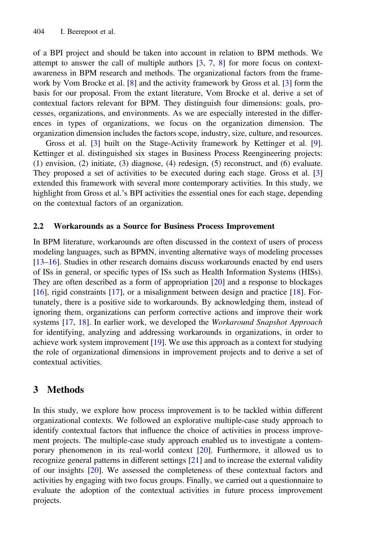<span id="page-2-0"></span>of a BPI project and should be taken into account in relation to BPM methods. We attempt to answer the call of multiple authors [[3,](#page-14-0) [7](#page-14-0), [8](#page-14-0)] for more focus on contextawareness in BPM research and methods. The organizational factors from the framework by Vom Brocke et al. [\[8](#page-14-0)] and the activity framework by Gross et al. [[3\]](#page-14-0) form the basis for our proposal. From the extant literature, Vom Brocke et al. derive a set of contextual factors relevant for BPM. They distinguish four dimensions: goals, processes, organizations, and environments. As we are especially interested in the differences in types of organizations, we focus on the organization dimension. The organization dimension includes the factors scope, industry, size, culture, and resources.

Gross et al. [[3\]](#page-14-0) built on the Stage-Activity framework by Kettinger et al. [[9\]](#page-14-0). Kettinger et al. distinguished six stages in Business Process Reengineering projects: (1) envision, (2) initiate, (3) diagnose, (4) redesign, (5) reconstruct, and (6) evaluate. They proposed a set of activities to be executed during each stage. Gross et al. [\[3](#page-14-0)] extended this framework with several more contemporary activities. In this study, we highlight from Gross et al.'s BPI activities the essential ones for each stage, depending on the contextual factors of an organization.

#### 2.2 Workarounds as a Source for Business Process Improvement

In BPM literature, workarounds are often discussed in the context of users of process modeling languages, such as BPMN, inventing alternative ways of modeling processes [[13](#page-14-0)–[16\]](#page-15-0). Studies in other research domains discuss workarounds enacted by end users of ISs in general, or specific types of ISs such as Health Information Systems (HISs). They are often described as a form of appropriation [[20\]](#page-15-0) and a response to blockages [[16\]](#page-15-0), rigid constraints [\[17](#page-15-0)], or a misalignment between design and practice [[18](#page-15-0)]. Fortunately, there is a positive side to workarounds. By acknowledging them, instead of ignoring them, organizations can perform corrective actions and improve their work systems [[17,](#page-15-0) [18](#page-15-0)]. In earlier work, we developed the Workaround Snapshot Approach for identifying, analyzing and addressing workarounds in organizations, in order to achieve work system improvement [\[19](#page-15-0)]. We use this approach as a context for studying the role of organizational dimensions in improvement projects and to derive a set of contextual activities.

# 3 Methods

In this study, we explore how process improvement is to be tackled within different organizational contexts. We followed an explorative multiple-case study approach to identify contextual factors that influence the choice of activities in process improvement projects. The multiple-case study approach enabled us to investigate a contemporary phenomenon in its real-world context [[20\]](#page-15-0). Furthermore, it allowed us to recognize general patterns in different settings [\[21](#page-15-0)] and to increase the external validity of our insights [[20\]](#page-15-0). We assessed the completeness of these contextual factors and activities by engaging with two focus groups. Finally, we carried out a questionnaire to evaluate the adoption of the contextual activities in future process improvement projects.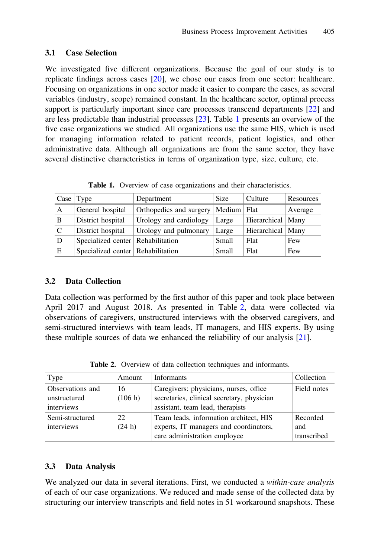# <span id="page-3-0"></span>3.1 Case Selection

We investigated five different organizations. Because the goal of our study is to replicate findings across cases [\[20](#page-15-0)], we chose our cases from one sector: healthcare. Focusing on organizations in one sector made it easier to compare the cases, as several variables (industry, scope) remained constant. In the healthcare sector, optimal process support is particularly important since care processes transcend departments [[22\]](#page-15-0) and are less predictable than industrial processes [\[23](#page-15-0)]. Table 1 presents an overview of the five case organizations we studied. All organizations use the same HIS, which is used for managing information related to patient records, patient logistics, and other administrative data. Although all organizations are from the same sector, they have several distinctive characteristics in terms of organization type, size, culture, etc.

|   | Case   Type                         | Department                              | <b>Size</b> | Culture             | Resources |
|---|-------------------------------------|-----------------------------------------|-------------|---------------------|-----------|
| A | General hospital                    | Orthopedics and surgery   Medium   Flat |             |                     | Average   |
| B | District hospital                   | Urology and cardiology                  | Large       | Hierarchical   Many |           |
| C | District hospital                   | Urology and pulmonary                   | Large       | Hierarchical   Many |           |
| D | Specialized center   Rehabilitation |                                         | Small       | Flat                | Few       |
| E | Specialized center   Rehabilitation |                                         | Small       | Flat                | Few       |

Table 1. Overview of case organizations and their characteristics.

# 3.2 Data Collection

Data collection was performed by the first author of this paper and took place between April 2017 and August 2018. As presented in Table 2, data were collected via observations of caregivers, unstructured interviews with the observed caregivers, and semi-structured interviews with team leads, IT managers, and HIS experts. By using these multiple sources of data we enhanced the reliability of our analysis [[21\]](#page-15-0).

| Type                                           | Amount        | <b>Informants</b>                                                                                                        | Collection                     |
|------------------------------------------------|---------------|--------------------------------------------------------------------------------------------------------------------------|--------------------------------|
| Observations and<br>unstructured<br>interviews | 16<br>(106 h) | Caregivers: physicians, nurses, office<br>secretaries, clinical secretary, physician<br>assistant, team lead, therapists | Field notes                    |
| Semi-structured<br>interviews                  | 22<br>(24 h)  | Team leads, information architect, HIS<br>experts, IT managers and coordinators,<br>care administration employee         | Recorded<br>and<br>transcribed |

Table 2. Overview of data collection techniques and informants.

# 3.3 Data Analysis

We analyzed our data in several iterations. First, we conducted a *within-case analysis* of each of our case organizations. We reduced and made sense of the collected data by structuring our interview transcripts and field notes in 51 workaround snapshots. These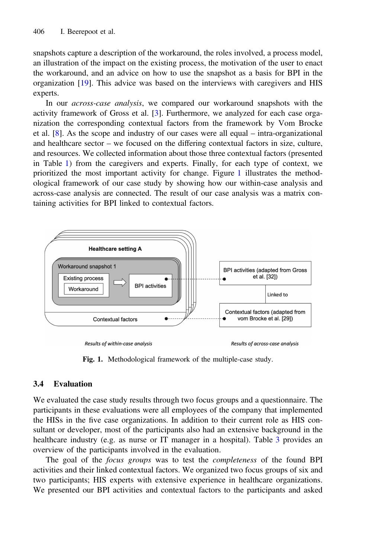snapshots capture a description of the workaround, the roles involved, a process model, an illustration of the impact on the existing process, the motivation of the user to enact the workaround, and an advice on how to use the snapshot as a basis for BPI in the organization [\[19](#page-15-0)]. This advice was based on the interviews with caregivers and HIS experts.

In our *across-case analysis*, we compared our workaround snapshots with the activity framework of Gross et al. [[3\]](#page-14-0). Furthermore, we analyzed for each case organization the corresponding contextual factors from the framework by Vom Brocke et al. [[8\]](#page-14-0). As the scope and industry of our cases were all equal – intra-organizational and healthcare sector – we focused on the differing contextual factors in size, culture, and resources. We collected information about those three contextual factors (presented in Table [1\)](#page-3-0) from the caregivers and experts. Finally, for each type of context, we prioritized the most important activity for change. Figure 1 illustrates the methodological framework of our case study by showing how our within-case analysis and across-case analysis are connected. The result of our case analysis was a matrix containing activities for BPI linked to contextual factors.



Fig. 1. Methodological framework of the multiple-case study.

#### 3.4 Evaluation

We evaluated the case study results through two focus groups and a questionnaire. The participants in these evaluations were all employees of the company that implemented the HISs in the five case organizations. In addition to their current role as HIS consultant or developer, most of the participants also had an extensive background in the healthcare industry (e.g. as nurse or IT manager in a hospital). Table [3](#page-5-0) provides an overview of the participants involved in the evaluation.

The goal of the focus groups was to test the completeness of the found BPI activities and their linked contextual factors. We organized two focus groups of six and two participants; HIS experts with extensive experience in healthcare organizations. We presented our BPI activities and contextual factors to the participants and asked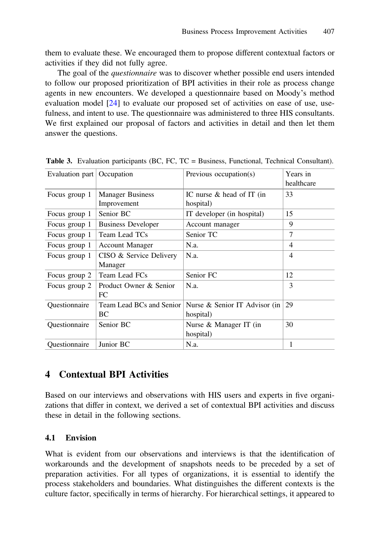<span id="page-5-0"></span>them to evaluate these. We encouraged them to propose different contextual factors or activities if they did not fully agree.

The goal of the *questionnaire* was to discover whether possible end users intended to follow our proposed prioritization of BPI activities in their role as process change agents in new encounters. We developed a questionnaire based on Moody's method evaluation model [\[24](#page-15-0)] to evaluate our proposed set of activities on ease of use, usefulness, and intent to use. The questionnaire was administered to three HIS consultants. We first explained our proposal of factors and activities in detail and then let them answer the questions.

| Evaluation part   Occupation |                           | Previous occupation(s)        | Years in   |
|------------------------------|---------------------------|-------------------------------|------------|
|                              |                           |                               | healthcare |
| Focus group 1                | <b>Manager Business</b>   | IC nurse & head of IT (in     | 33         |
|                              | Improvement               | hospital)                     |            |
| Focus group 1                | Senior BC                 | IT developer (in hospital)    | 15         |
| Focus group 1                | <b>Business Developer</b> | Account manager               | 9          |
| Focus group 1                | Team Lead TCs             | Senior TC                     | 7          |
| Focus group 1                | <b>Account Manager</b>    | N.a.                          | 4          |
| Focus group 1                | CISO & Service Delivery   | N.a.                          | 4          |
|                              | Manager                   |                               |            |
| Focus group 2                | Team Lead FCs             | Senior FC                     | 12         |
| Focus group 2                | Product Owner & Senior    | N.a.                          | 3          |
|                              | FC                        |                               |            |
| <b>Ouestionnaire</b>         | Team Lead BCs and Senior  | Nurse & Senior IT Advisor (in | 29         |
|                              | BС                        | hospital)                     |            |
| <b>Ouestionnaire</b>         | Senior BC                 | Nurse & Manager IT (in        | 30         |
|                              |                           | hospital)                     |            |
| <b>Ouestionnaire</b>         | Junior BC                 | N.a.                          | 1          |

Table 3. Evaluation participants (BC, FC, TC = Business, Functional, Technical Consultant).

# 4 Contextual BPI Activities

Based on our interviews and observations with HIS users and experts in five organizations that differ in context, we derived a set of contextual BPI activities and discuss these in detail in the following sections.

# 4.1 Envision

What is evident from our observations and interviews is that the identification of workarounds and the development of snapshots needs to be preceded by a set of preparation activities. For all types of organizations, it is essential to identify the process stakeholders and boundaries. What distinguishes the different contexts is the culture factor, specifically in terms of hierarchy. For hierarchical settings, it appeared to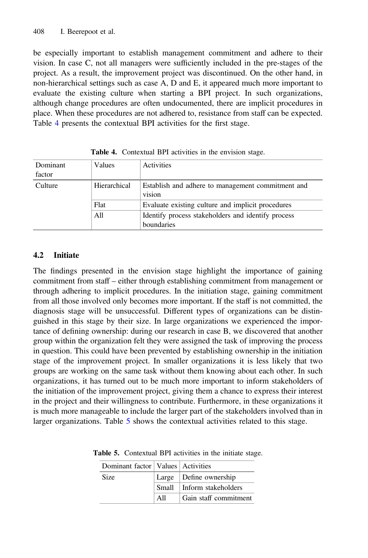be especially important to establish management commitment and adhere to their vision. In case C, not all managers were sufficiently included in the pre-stages of the project. As a result, the improvement project was discontinued. On the other hand, in non-hierarchical settings such as case A, D and E, it appeared much more important to evaluate the existing culture when starting a BPI project. In such organizations, although change procedures are often undocumented, there are implicit procedures in place. When these procedures are not adhered to, resistance from staff can be expected. Table 4 presents the contextual BPI activities for the first stage.

| Dominant | Values       | Activities                                                                            |
|----------|--------------|---------------------------------------------------------------------------------------|
| factor   |              |                                                                                       |
| Culture  | Hierarchical | Establish and adhere to management commitment and<br>$\cdot$ $\cdot$<br><b>V1S1ON</b> |
|          | Flat         | Evaluate existing culture and implicit procedures                                     |
|          | All          | Identify process stakeholders and identify process<br>boundaries                      |

Table 4. Contextual BPI activities in the envision stage.

# 4.2 Initiate

The findings presented in the envision stage highlight the importance of gaining commitment from staff – either through establishing commitment from management or through adhering to implicit procedures. In the initiation stage, gaining commitment from all those involved only becomes more important. If the staff is not committed, the diagnosis stage will be unsuccessful. Different types of organizations can be distinguished in this stage by their size. In large organizations we experienced the importance of defining ownership: during our research in case B, we discovered that another group within the organization felt they were assigned the task of improving the process in question. This could have been prevented by establishing ownership in the initiation stage of the improvement project. In smaller organizations it is less likely that two groups are working on the same task without them knowing about each other. In such organizations, it has turned out to be much more important to inform stakeholders of the initiation of the improvement project, giving them a chance to express their interest in the project and their willingness to contribute. Furthermore, in these organizations it is much more manageable to include the larger part of the stakeholders involved than in larger organizations. Table 5 shows the contextual activities related to this stage.

| Dominant factor   Values   Activities |     |                             |
|---------------------------------------|-----|-----------------------------|
| Size                                  |     | Large Define ownership      |
|                                       |     | Small   Inform stakeholders |
|                                       | All | Gain staff commitment       |

Table 5. Contextual BPI activities in the initiate stage.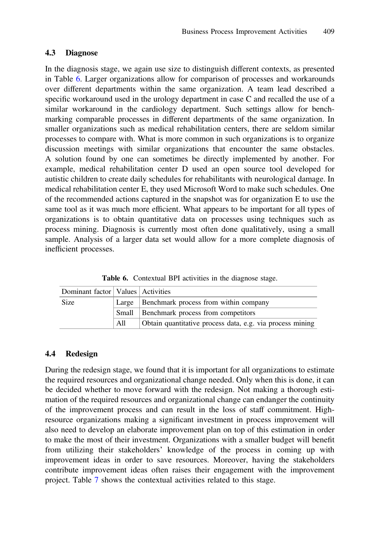#### 4.3 Diagnose

In the diagnosis stage, we again use size to distinguish different contexts, as presented in Table 6. Larger organizations allow for comparison of processes and workarounds over different departments within the same organization. A team lead described a specific workaround used in the urology department in case C and recalled the use of a similar workaround in the cardiology department. Such settings allow for benchmarking comparable processes in different departments of the same organization. In smaller organizations such as medical rehabilitation centers, there are seldom similar processes to compare with. What is more common in such organizations is to organize discussion meetings with similar organizations that encounter the same obstacles. A solution found by one can sometimes be directly implemented by another. For example, medical rehabilitation center D used an open source tool developed for autistic children to create daily schedules for rehabilitants with neurological damage. In medical rehabilitation center E, they used Microsoft Word to make such schedules. One of the recommended actions captured in the snapshot was for organization E to use the same tool as it was much more efficient. What appears to be important for all types of organizations is to obtain quantitative data on processes using techniques such as process mining. Diagnosis is currently most often done qualitatively, using a small sample. Analysis of a larger data set would allow for a more complete diagnosis of inefficient processes.

|  |  |  |  | Table 6. Contextual BPI activities in the diagnose stage. |  |
|--|--|--|--|-----------------------------------------------------------|--|
|  |  |  |  |                                                           |  |

| Dominant factor   Values   Activities |                                             |                                                           |
|---------------------------------------|---------------------------------------------|-----------------------------------------------------------|
| <b>Size</b>                           | Large Benchmark process from within company |                                                           |
|                                       |                                             | <b>Small</b> Benchmark process from competitors           |
|                                       | All                                         | Obtain quantitative process data, e.g. via process mining |

#### 4.4 Redesign

During the redesign stage, we found that it is important for all organizations to estimate the required resources and organizational change needed. Only when this is done, it can be decided whether to move forward with the redesign. Not making a thorough estimation of the required resources and organizational change can endanger the continuity of the improvement process and can result in the loss of staff commitment. Highresource organizations making a significant investment in process improvement will also need to develop an elaborate improvement plan on top of this estimation in order to make the most of their investment. Organizations with a smaller budget will benefit from utilizing their stakeholders' knowledge of the process in coming up with improvement ideas in order to save resources. Moreover, having the stakeholders contribute improvement ideas often raises their engagement with the improvement project. Table [7](#page-8-0) shows the contextual activities related to this stage.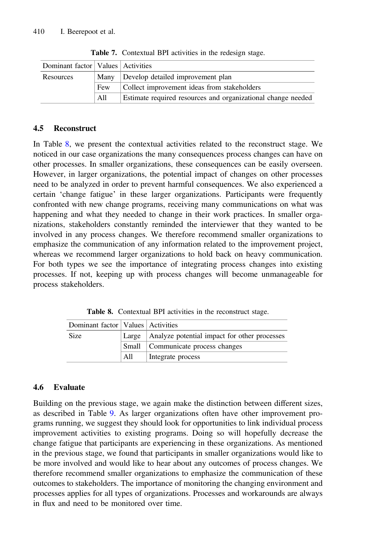<span id="page-8-0"></span>

| Dominant factor   Values   Activities |     |                                                              |
|---------------------------------------|-----|--------------------------------------------------------------|
| Resources                             |     | Many Develop detailed improvement plan                       |
|                                       | Few | Collect improvement ideas from stakeholders                  |
|                                       | All | Estimate required resources and organizational change needed |

Table 7. Contextual BPI activities in the redesign stage.

# 4.5 Reconstruct

In Table 8, we present the contextual activities related to the reconstruct stage. We noticed in our case organizations the many consequences process changes can have on other processes. In smaller organizations, these consequences can be easily overseen. However, in larger organizations, the potential impact of changes on other processes need to be analyzed in order to prevent harmful consequences. We also experienced a certain 'change fatigue' in these larger organizations. Participants were frequently confronted with new change programs, receiving many communications on what was happening and what they needed to change in their work practices. In smaller organizations, stakeholders constantly reminded the interviewer that they wanted to be involved in any process changes. We therefore recommend smaller organizations to emphasize the communication of any information related to the improvement project, whereas we recommend larger organizations to hold back on heavy communication. For both types we see the importance of integrating process changes into existing processes. If not, keeping up with process changes will become unmanageable for process stakeholders.

Table 8. Contextual BPI activities in the reconstruct stage.

| Dominant factor   Values   Activities |     |                                                      |
|---------------------------------------|-----|------------------------------------------------------|
| Size                                  |     | Large   Analyze potential impact for other processes |
|                                       |     | Small Communicate process changes                    |
|                                       | All | Integrate process                                    |

# 4.6 Evaluate

Building on the previous stage, we again make the distinction between different sizes, as described in Table [9](#page-9-0). As larger organizations often have other improvement programs running, we suggest they should look for opportunities to link individual process improvement activities to existing programs. Doing so will hopefully decrease the change fatigue that participants are experiencing in these organizations. As mentioned in the previous stage, we found that participants in smaller organizations would like to be more involved and would like to hear about any outcomes of process changes. We therefore recommend smaller organizations to emphasize the communication of these outcomes to stakeholders. The importance of monitoring the changing environment and processes applies for all types of organizations. Processes and workarounds are always in flux and need to be monitored over time.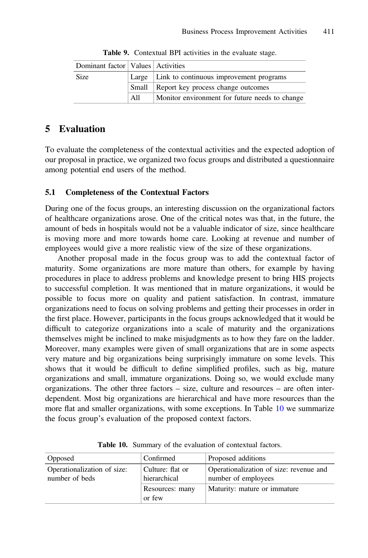<span id="page-9-0"></span>

| Dominant factor   Values   Activities |     |                                                |
|---------------------------------------|-----|------------------------------------------------|
| <b>Size</b>                           |     | Large Link to continuous improvement programs  |
|                                       |     | Small Report key process change outcomes       |
|                                       | All | Monitor environment for future needs to change |

Table 9. Contextual BPI activities in the evaluate stage.

# 5 Evaluation

To evaluate the completeness of the contextual activities and the expected adoption of our proposal in practice, we organized two focus groups and distributed a questionnaire among potential end users of the method.

### 5.1 Completeness of the Contextual Factors

During one of the focus groups, an interesting discussion on the organizational factors of healthcare organizations arose. One of the critical notes was that, in the future, the amount of beds in hospitals would not be a valuable indicator of size, since healthcare is moving more and more towards home care. Looking at revenue and number of employees would give a more realistic view of the size of these organizations.

Another proposal made in the focus group was to add the contextual factor of maturity. Some organizations are more mature than others, for example by having procedures in place to address problems and knowledge present to bring HIS projects to successful completion. It was mentioned that in mature organizations, it would be possible to focus more on quality and patient satisfaction. In contrast, immature organizations need to focus on solving problems and getting their processes in order in the first place. However, participants in the focus groups acknowledged that it would be difficult to categorize organizations into a scale of maturity and the organizations themselves might be inclined to make misjudgments as to how they fare on the ladder. Moreover, many examples were given of small organizations that are in some aspects very mature and big organizations being surprisingly immature on some levels. This shows that it would be difficult to define simplified profiles, such as big, mature organizations and small, immature organizations. Doing so, we would exclude many organizations. The other three factors – size, culture and resources – are often interdependent. Most big organizations are hierarchical and have more resources than the more flat and smaller organizations, with some exceptions. In Table 10 we summarize the focus group's evaluation of the proposed context factors.

| Opposed                                       | Confirmed                        | Proposed additions                                             |
|-----------------------------------------------|----------------------------------|----------------------------------------------------------------|
| Operationalization of size:<br>number of beds | Culture: flat or<br>hierarchical | Operationalization of size: revenue and<br>number of employees |
|                                               | Resources: many<br>or few        | Maturity: mature or immature                                   |

Table 10. Summary of the evaluation of contextual factors.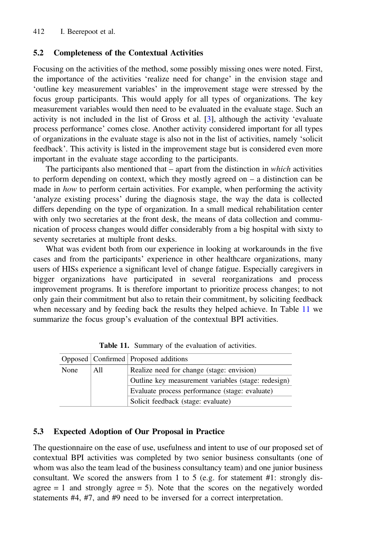#### 5.2 Completeness of the Contextual Activities

Focusing on the activities of the method, some possibly missing ones were noted. First, the importance of the activities 'realize need for change' in the envision stage and 'outline key measurement variables' in the improvement stage were stressed by the focus group participants. This would apply for all types of organizations. The key measurement variables would then need to be evaluated in the evaluate stage. Such an activity is not included in the list of Gross et al. [\[3](#page-14-0)], although the activity 'evaluate process performance' comes close. Another activity considered important for all types of organizations in the evaluate stage is also not in the list of activities, namely 'solicit feedback'. This activity is listed in the improvement stage but is considered even more important in the evaluate stage according to the participants.

The participants also mentioned that  $-$  apart from the distinction in which activities to perform depending on context, which they mostly agreed on – a distinction can be made in how to perform certain activities. For example, when performing the activity 'analyze existing process' during the diagnosis stage, the way the data is collected differs depending on the type of organization. In a small medical rehabilitation center with only two secretaries at the front desk, the means of data collection and communication of process changes would differ considerably from a big hospital with sixty to seventy secretaries at multiple front desks.

What was evident both from our experience in looking at workarounds in the five cases and from the participants' experience in other healthcare organizations, many users of HISs experience a significant level of change fatigue. Especially caregivers in bigger organizations have participated in several reorganizations and process improvement programs. It is therefore important to prioritize process changes; to not only gain their commitment but also to retain their commitment, by soliciting feedback when necessary and by feeding back the results they helped achieve. In Table 11 we summarize the focus group's evaluation of the contextual BPI activities.

|      |     | Opposed   Confirmed   Proposed additions            |
|------|-----|-----------------------------------------------------|
| None | All | Realize need for change (stage: envision)           |
|      |     | Outline key measurement variables (stage: redesign) |
|      |     | Evaluate process performance (stage: evaluate)      |
|      |     | Solicit feedback (stage: evaluate)                  |

Table 11. Summary of the evaluation of activities.

#### 5.3 Expected Adoption of Our Proposal in Practice

The questionnaire on the ease of use, usefulness and intent to use of our proposed set of contextual BPI activities was completed by two senior business consultants (one of whom was also the team lead of the business consultancy team) and one junior business consultant. We scored the answers from 1 to 5 (e.g. for statement  $#1$ : strongly disagree  $= 1$  and strongly agree  $= 5$ ). Note that the scores on the negatively worded statements #4, #7, and #9 need to be inversed for a correct interpretation.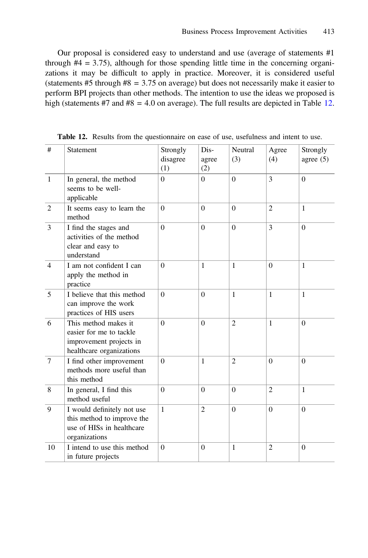Our proposal is considered easy to understand and use (average of statements #1 through  $#4 = 3.75$ ), although for those spending little time in the concerning organizations it may be difficult to apply in practice. Moreover, it is considered useful (statements #5 through #8 = 3.75 on average) but does not necessarily make it easier to perform BPI projects than other methods. The intention to use the ideas we proposed is high (statements  $#7$  and  $#8 = 4.0$  on average). The full results are depicted in Table 12.

| #              | Statement                                                                                              | Strongly<br>disagree<br>(1) | Dis-<br>agree<br>(2) | Neutral<br>(3) | Agree<br>(4)   | Strongly<br>agree $(5)$ |
|----------------|--------------------------------------------------------------------------------------------------------|-----------------------------|----------------------|----------------|----------------|-------------------------|
| $\mathbf{1}$   | In general, the method<br>seems to be well-<br>applicable                                              | $\Omega$                    | $\Omega$             | $\Omega$       | 3              | $\theta$                |
| $\overline{2}$ | It seems easy to learn the<br>method                                                                   | $\theta$                    | $\Omega$             | $\Omega$       | $\overline{2}$ | $\mathbf{1}$            |
| 3              | I find the stages and<br>activities of the method<br>clear and easy to<br>understand                   | $\mathbf{0}$                | $\Omega$             | $\Omega$       | 3              | $\Omega$                |
| $\overline{4}$ | I am not confident I can<br>apply the method in<br>practice                                            | $\Omega$                    | $\mathbf{1}$         | $\mathbf{1}$   | $\Omega$       | $\mathbf{1}$            |
| 5              | I believe that this method<br>can improve the work<br>practices of HIS users                           | $\theta$                    | $\Omega$             | $\mathbf{1}$   | 1              | $\mathbf{1}$            |
| 6              | This method makes it<br>easier for me to tackle<br>improvement projects in<br>healthcare organizations | $\theta$                    | $\Omega$             | $\overline{2}$ | $\mathbf{1}$   | $\Omega$                |
| $\overline{7}$ | I find other improvement<br>methods more useful than<br>this method                                    | $\Omega$                    | $\mathbf{1}$         | $\overline{2}$ | $\Omega$       | $\Omega$                |
| 8              | In general, I find this<br>method useful                                                               | $\theta$                    | $\theta$             | $\theta$       | $\overline{2}$ | $\mathbf{1}$            |
| $\mathbf{Q}$   | I would definitely not use<br>this method to improve the<br>use of HISs in healthcare<br>organizations | $\mathbf{1}$                | $\overline{2}$       | $\Omega$       | $\theta$       | $\Omega$                |
| 10             | I intend to use this method<br>in future projects                                                      | $\overline{0}$              | $\overline{0}$       | $\mathbf{1}$   | $\overline{2}$ | $\overline{0}$          |

Table 12. Results from the questionnaire on ease of use, usefulness and intent to use.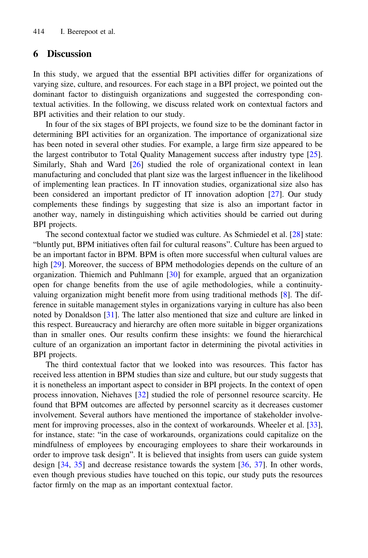# 6 Discussion

In this study, we argued that the essential BPI activities differ for organizations of varying size, culture, and resources. For each stage in a BPI project, we pointed out the dominant factor to distinguish organizations and suggested the corresponding contextual activities. In the following, we discuss related work on contextual factors and BPI activities and their relation to our study.

In four of the six stages of BPI projects, we found size to be the dominant factor in determining BPI activities for an organization. The importance of organizational size has been noted in several other studies. For example, a large firm size appeared to be the largest contributor to Total Quality Management success after industry type [[25\]](#page-15-0). Similarly, Shah and Ward [\[26](#page-15-0)] studied the role of organizational context in lean manufacturing and concluded that plant size was the largest influencer in the likelihood of implementing lean practices. In IT innovation studies, organizational size also has been considered an important predictor of IT innovation adoption [[27\]](#page-15-0). Our study complements these findings by suggesting that size is also an important factor in another way, namely in distinguishing which activities should be carried out during BPI projects.

The second contextual factor we studied was culture. As Schmiedel et al. [\[28](#page-15-0)] state: "bluntly put, BPM initiatives often fail for cultural reasons". Culture has been argued to be an important factor in BPM. BPM is often more successful when cultural values are high [[29\]](#page-15-0). Moreover, the success of BPM methodologies depends on the culture of an organization. Thiemich and Puhlmann [\[30](#page-15-0)] for example, argued that an organization open for change benefits from the use of agile methodologies, while a continuityvaluing organization might benefit more from using traditional methods [\[8](#page-14-0)]. The difference in suitable management styles in organizations varying in culture has also been noted by Donaldson [\[31](#page-15-0)]. The latter also mentioned that size and culture are linked in this respect. Bureaucracy and hierarchy are often more suitable in bigger organizations than in smaller ones. Our results confirm these insights: we found the hierarchical culture of an organization an important factor in determining the pivotal activities in BPI projects.

The third contextual factor that we looked into was resources. This factor has received less attention in BPM studies than size and culture, but our study suggests that it is nonetheless an important aspect to consider in BPI projects. In the context of open process innovation, Niehaves [\[32](#page-15-0)] studied the role of personnel resource scarcity. He found that BPM outcomes are affected by personnel scarcity as it decreases customer involvement. Several authors have mentioned the importance of stakeholder involve-ment for improving processes, also in the context of workarounds. Wheeler et al. [[33\]](#page-16-0), for instance, state: "in the case of workarounds, organizations could capitalize on the mindfulness of employees by encouraging employees to share their workarounds in order to improve task design". It is believed that insights from users can guide system design [\[34](#page-16-0), [35](#page-16-0)] and decrease resistance towards the system [[36,](#page-16-0) [37\]](#page-16-0). In other words, even though previous studies have touched on this topic, our study puts the resources factor firmly on the map as an important contextual factor.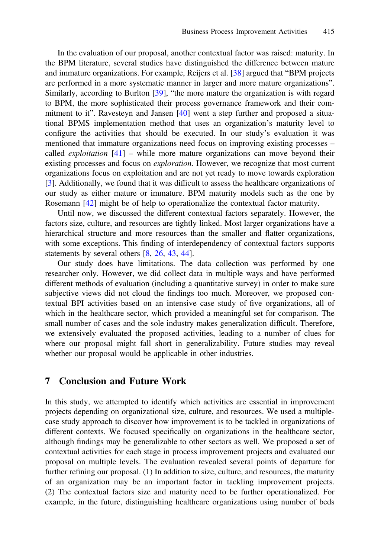In the evaluation of our proposal, another contextual factor was raised: maturity. In the BPM literature, several studies have distinguished the difference between mature and immature organizations. For example, Reijers et al. [[38\]](#page-16-0) argued that "BPM projects are performed in a more systematic manner in larger and more mature organizations". Similarly, according to Burlton [\[39](#page-16-0)], "the more mature the organization is with regard to BPM, the more sophisticated their process governance framework and their commitment to it". Ravesteyn and Jansen [[40\]](#page-16-0) went a step further and proposed a situational BPMS implementation method that uses an organization's maturity level to configure the activities that should be executed. In our study's evaluation it was mentioned that immature organizations need focus on improving existing processes – called exploitation [\[41](#page-16-0)] – while more mature organizations can move beyond their existing processes and focus on *exploration*. However, we recognize that most current organizations focus on exploitation and are not yet ready to move towards exploration [\[3](#page-14-0)]. Additionally, we found that it was difficult to assess the healthcare organizations of our study as either mature or immature. BPM maturity models such as the one by Rosemann [\[42](#page-16-0)] might be of help to operationalize the contextual factor maturity.

Until now, we discussed the different contextual factors separately. However, the factors size, culture, and resources are tightly linked. Most larger organizations have a hierarchical structure and more resources than the smaller and flatter organizations, with some exceptions. This finding of interdependency of contextual factors supports statements by several others [[8,](#page-14-0) [26,](#page-15-0) [43,](#page-16-0) [44](#page-16-0)].

Our study does have limitations. The data collection was performed by one researcher only. However, we did collect data in multiple ways and have performed different methods of evaluation (including a quantitative survey) in order to make sure subjective views did not cloud the findings too much. Moreover, we proposed contextual BPI activities based on an intensive case study of five organizations, all of which in the healthcare sector, which provided a meaningful set for comparison. The small number of cases and the sole industry makes generalization difficult. Therefore, we extensively evaluated the proposed activities, leading to a number of clues for where our proposal might fall short in generalizability. Future studies may reveal whether our proposal would be applicable in other industries.

# 7 Conclusion and Future Work

In this study, we attempted to identify which activities are essential in improvement projects depending on organizational size, culture, and resources. We used a multiplecase study approach to discover how improvement is to be tackled in organizations of different contexts. We focused specifically on organizations in the healthcare sector, although findings may be generalizable to other sectors as well. We proposed a set of contextual activities for each stage in process improvement projects and evaluated our proposal on multiple levels. The evaluation revealed several points of departure for further refining our proposal. (1) In addition to size, culture, and resources, the maturity of an organization may be an important factor in tackling improvement projects. (2) The contextual factors size and maturity need to be further operationalized. For example, in the future, distinguishing healthcare organizations using number of beds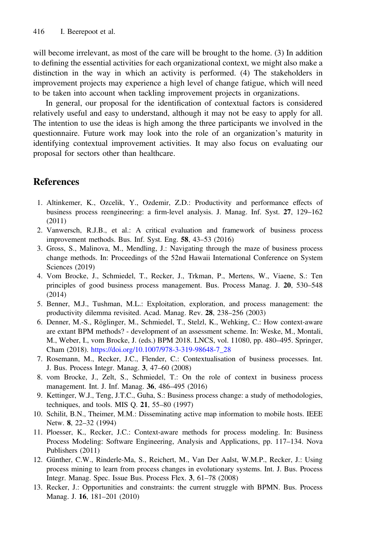<span id="page-14-0"></span>will become irrelevant, as most of the care will be brought to the home. (3) In addition to defining the essential activities for each organizational context, we might also make a distinction in the way in which an activity is performed. (4) The stakeholders in improvement projects may experience a high level of change fatigue, which will need to be taken into account when tackling improvement projects in organizations.

In general, our proposal for the identification of contextual factors is considered relatively useful and easy to understand, although it may not be easy to apply for all. The intention to use the ideas is high among the three participants we involved in the questionnaire. Future work may look into the role of an organization's maturity in identifying contextual improvement activities. It may also focus on evaluating our proposal for sectors other than healthcare.

# **References**

- 1. Altinkemer, K., Ozcelik, Y., Ozdemir, Z.D.: Productivity and performance effects of business process reengineering: a firm-level analysis. J. Manag. Inf. Syst. 27, 129–162 (2011)
- 2. Vanwersch, R.J.B., et al.: A critical evaluation and framework of business process improvement methods. Bus. Inf. Syst. Eng. 58, 43–53 (2016)
- 3. Gross, S., Malinova, M., Mendling, J.: Navigating through the maze of business process change methods. In: Proceedings of the 52nd Hawaii International Conference on System Sciences (2019)
- 4. Vom Brocke, J., Schmiedel, T., Recker, J., Trkman, P., Mertens, W., Viaene, S.: Ten principles of good business process management. Bus. Process Manag. J. 20, 530–548 (2014)
- 5. Benner, M.J., Tushman, M.L.: Exploitation, exploration, and process management: the productivity dilemma revisited. Acad. Manag. Rev. 28, 238–256 (2003)
- 6. Denner, M.-S., Röglinger, M., Schmiedel, T., Stelzl, K., Wehking, C.: How context-aware are extant BPM methods? - development of an assessment scheme. In: Weske, M., Montali, M., Weber, I., vom Brocke, J. (eds.) BPM 2018. LNCS, vol. 11080, pp. 480–495. Springer, Cham (2018). [https://doi.org/10.1007/978-3-319-98648-7\\_28](http://dx.doi.org/10.1007/978-3-319-98648-7_28)
- 7. Rosemann, M., Recker, J.C., Flender, C.: Contextualisation of business processes. Int. J. Bus. Process Integr. Manag. 3, 47–60 (2008)
- 8. vom Brocke, J., Zelt, S., Schmiedel, T.: On the role of context in business process management. Int. J. Inf. Manag. 36, 486–495 (2016)
- 9. Kettinger, W.J., Teng, J.T.C., Guha, S.: Business process change: a study of methodologies, techniques, and tools. MIS Q. 21, 55–80 (1997)
- 10. Schilit, B.N., Theimer, M.M.: Disseminating active map information to mobile hosts. IEEE Netw. 8, 22–32 (1994)
- 11. Ploesser, K., Recker, J.C.: Context-aware methods for process modeling. In: Business Process Modeling: Software Engineering, Analysis and Applications, pp. 117–134. Nova Publishers (2011)
- 12. Günther, C.W., Rinderle-Ma, S., Reichert, M., Van Der Aalst, W.M.P., Recker, J.: Using process mining to learn from process changes in evolutionary systems. Int. J. Bus. Process Integr. Manag. Spec. Issue Bus. Process Flex. 3, 61–78 (2008)
- 13. Recker, J.: Opportunities and constraints: the current struggle with BPMN. Bus. Process Manag. J. 16, 181–201 (2010)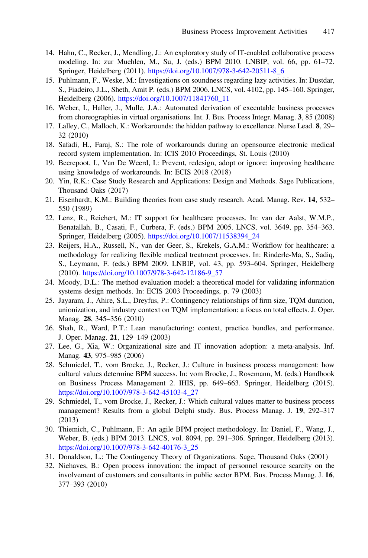- <span id="page-15-0"></span>14. Hahn, C., Recker, J., Mendling, J.: An exploratory study of IT-enabled collaborative process modeling. In: zur Muehlen, M., Su, J. (eds.) BPM 2010. LNBIP, vol. 66, pp. 61–72. Springer, Heidelberg (2011). [https://doi.org/10.1007/978-3-642-20511-8\\_6](http://dx.doi.org/10.1007/978-3-642-20511-8_6)
- 15. Puhlmann, F., Weske, M.: Investigations on soundness regarding lazy activities. In: Dustdar, S., Fiadeiro, J.L., Sheth, Amit P. (eds.) BPM 2006. LNCS, vol. 4102, pp. 145–160. Springer, Heidelberg (2006). [https://doi.org/10.1007/11841760\\_11](http://dx.doi.org/10.1007/11841760_11)
- 16. Weber, I., Haller, J., Mulle, J.A.: Automated derivation of executable business processes from choreographies in virtual organisations. Int. J. Bus. Process Integr. Manag. 3, 85 (2008)
- 17. Lalley, C., Malloch, K.: Workarounds: the hidden pathway to excellence. Nurse Lead. 8, 29– 32 (2010)
- 18. Safadi, H., Faraj, S.: The role of workarounds during an opensource electronic medical record system implementation. In: ICIS 2010 Proceedings, St. Louis (2010)
- 19. Beerepoot, I., Van De Weerd, I.: Prevent, redesign, adopt or ignore: improving healthcare using knowledge of workarounds. In: ECIS 2018 (2018)
- 20. Yin, R.K.: Case Study Research and Applications: Design and Methods. Sage Publications, Thousand Oaks (2017)
- 21. Eisenhardt, K.M.: Building theories from case study research. Acad. Manag. Rev. 14, 532– 550 (1989)
- 22. Lenz, R., Reichert, M.: IT support for healthcare processes. In: van der Aalst, W.M.P., Benatallah, B., Casati, F., Curbera, F. (eds.) BPM 2005. LNCS, vol. 3649, pp. 354–363. Springer, Heidelberg (2005). [https://doi.org/10.1007/11538394\\_24](http://dx.doi.org/10.1007/11538394_24)
- 23. Reijers, H.A., Russell, N., van der Geer, S., Krekels, G.A.M.: Workflow for healthcare: a methodology for realizing flexible medical treatment processes. In: Rinderle-Ma, S., Sadiq, S., Leymann, F. (eds.) BPM 2009. LNBIP, vol. 43, pp. 593–604. Springer, Heidelberg (2010). [https://doi.org/10.1007/978-3-642-12186-9\\_57](http://dx.doi.org/10.1007/978-3-642-12186-9_57)
- 24. Moody, D.L.: The method evaluation model: a theoretical model for validating information systems design methods. In: ECIS 2003 Proceedings, p. 79 (2003)
- 25. Jayaram, J., Ahire, S.L., Dreyfus, P.: Contingency relationships of firm size, TQM duration, unionization, and industry context on TQM implementation: a focus on total effects. J. Oper. Manag. 28, 345–356 (2010)
- 26. Shah, R., Ward, P.T.: Lean manufacturing: context, practice bundles, and performance. J. Oper. Manag. 21, 129–149 (2003)
- 27. Lee, G., Xia, W.: Organizational size and IT innovation adoption: a meta-analysis. Inf. Manag. 43, 975–985 (2006)
- 28. Schmiedel, T., vom Brocke, J., Recker, J.: Culture in business process management: how cultural values determine BPM success. In: vom Brocke, J., Rosemann, M. (eds.) Handbook on Business Process Management 2. IHIS, pp. 649–663. Springer, Heidelberg (2015). [https://doi.org/10.1007/978-3-642-45103-4\\_27](http://dx.doi.org/10.1007/978-3-642-45103-4_27)
- 29. Schmiedel, T., vom Brocke, J., Recker, J.: Which cultural values matter to business process management? Results from a global Delphi study. Bus. Process Manag. J. 19, 292–317 (2013)
- 30. Thiemich, C., Puhlmann, F.: An agile BPM project methodology. In: Daniel, F., Wang, J., Weber, B. (eds.) BPM 2013. LNCS, vol. 8094, pp. 291–306. Springer, Heidelberg (2013). [https://doi.org/10.1007/978-3-642-40176-3\\_25](http://dx.doi.org/10.1007/978-3-642-40176-3_25)
- 31. Donaldson, L.: The Contingency Theory of Organizations. Sage, Thousand Oaks (2001)
- 32. Niehaves, B.: Open process innovation: the impact of personnel resource scarcity on the involvement of customers and consultants in public sector BPM. Bus. Process Manag. J. 16, 377–393 (2010)